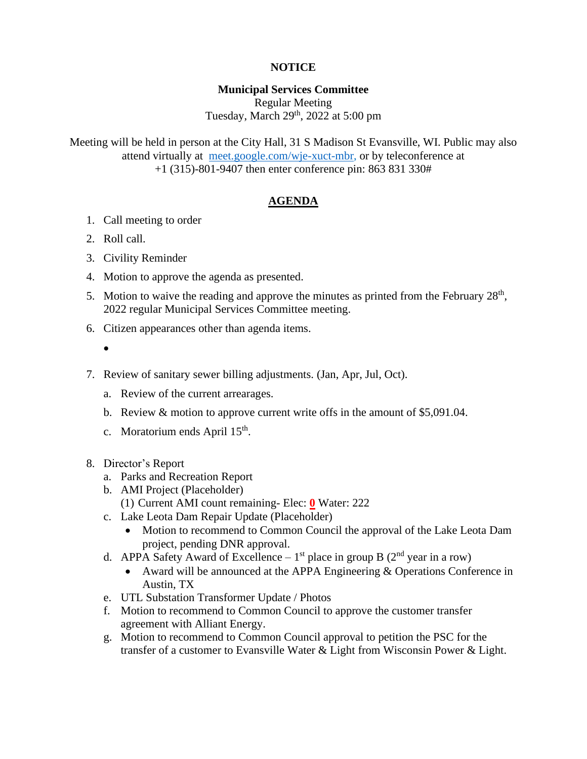# **NOTICE**

#### **Municipal Services Committee**

Regular Meeting Tuesday, March 29<sup>th</sup>, 2022 at 5:00 pm

Meeting will be held in person at the City Hall, 31 S Madison St Evansville, WI. Public may also attend virtually at [meet.google.com/wje-xuct-mbr,](file:///G:/My%20Drive/Meetings/MSC/2022/01-22/meet.google.com/wje-xuct-mbr) or by teleconference at +1 (315)-801-9407 then enter conference pin: 863 831 330#

### **AGENDA**

- 1. Call meeting to order
- 2. Roll call.
- 3. Civility Reminder
- 4. Motion to approve the agenda as presented.
- 5. Motion to waive the reading and approve the minutes as printed from the February  $28<sup>th</sup>$ , 2022 regular Municipal Services Committee meeting.
- 6. Citizen appearances other than agenda items.
	- •
- 7. Review of sanitary sewer billing adjustments. (Jan, Apr, Jul, Oct).
	- a. Review of the current arrearages.
	- b. Review & motion to approve current write offs in the amount of \$5,091.04.
	- c. Moratorium ends April  $15<sup>th</sup>$ .
- 8. Director's Report
	- a. Parks and Recreation Report
	- b. AMI Project (Placeholder) (1) Current AMI count remaining- Elec: **0** Water: 222
	- c. Lake Leota Dam Repair Update (Placeholder)
		- Motion to recommend to Common Council the approval of the Lake Leota Dam project, pending DNR approval.
	- d. APPA Safety Award of Excellence  $1<sup>st</sup>$  place in group B ( $2<sup>nd</sup>$  year in a row)
		- Award will be announced at the APPA Engineering & Operations Conference in Austin, TX
	- e. UTL Substation Transformer Update / Photos
	- f. Motion to recommend to Common Council to approve the customer transfer agreement with Alliant Energy.
	- g. Motion to recommend to Common Council approval to petition the PSC for the transfer of a customer to Evansville Water & Light from Wisconsin Power & Light.